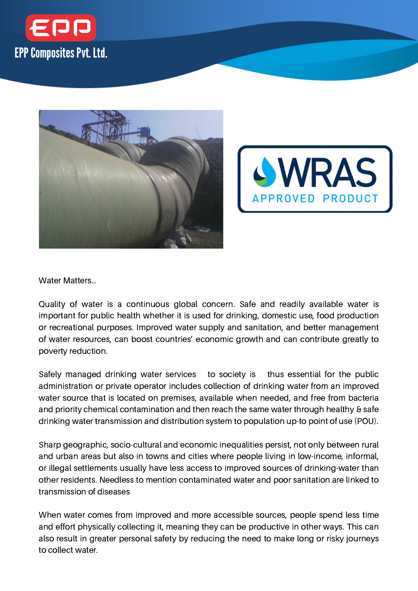





Water Matters…

Quality of water is a continuous global concern. Safe and readily available water is important for public health whether it is used for drinking, domestic use, food production or recreational purposes. Improved water supply and sanitation, and better management of water resources, can boost countries' economic growth and can contribute greatly to poverty reduction.

Safely managed drinking water services to society is thus essential for the public administration or private operator includes collection of drinking water from an improved water source that is located on premises, available when needed, and free from bacteria and priority chemical contamination and then reach the same water through healthy & safe drinking water transmission and distribution system to population up-to point of use (POU).

Sharp geographic, socio-cultural and economic inequalities persist, not only between rural and urban areas but also in towns and cities where people living in low-income, informal, or illegal settlements usually have less access to improved sources of drinking-water than other residents. Needless to mention contaminated water and poor sanitation are linked to transmission of diseases

When water comes from improved and more accessible sources, people spend less time and effort physically collecting it, meaning they can be productive in other ways. This can also result in greater personal safety by reducing the need to make long or risky journeys to collect water.